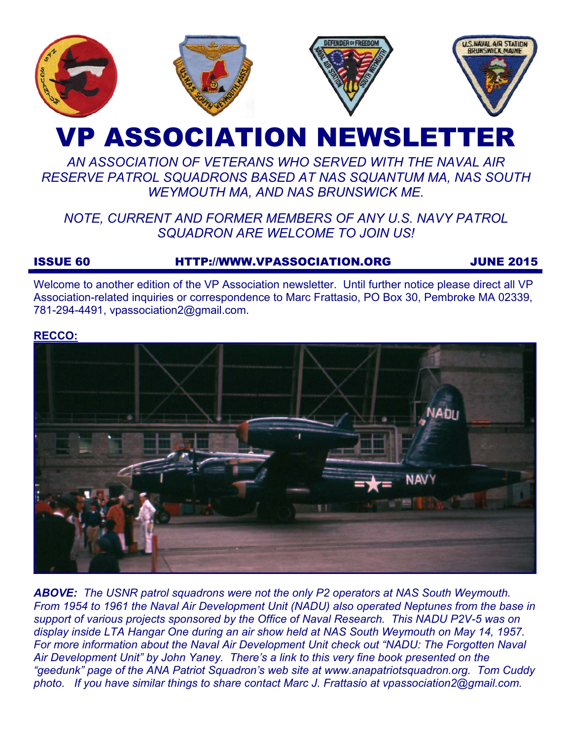

# VP ASSOCIATION NEWSLETTER

# *AN ASSOCIATION OF VETERANS WHO SERVED WITH THE NAVAL AIR RESERVE PATROL SQUADRONS BASED AT NAS SQUANTUM MA, NAS SOUTH WEYMOUTH MA, AND NAS BRUNSWICK ME.*

# *NOTE, CURRENT AND FORMER MEMBERS OF ANY U.S. NAVY PATROL SQUADRON ARE WELCOME TO JOIN US!*

# ISSUE 60 HTTP://WWW.VPASSOCIATION.ORG JUNE 2015

Welcome to another edition of the VP Association newsletter. Until further notice please direct all VP Association-related inquiries or correspondence to Marc Frattasio, PO Box 30, Pembroke MA 02339, 781-294-4491, vpassociation2@gmail.com.

## **RECCO:**



*ABOVE: The USNR patrol squadrons were not the only P2 operators at NAS South Weymouth. From 1954 to 1961 the Naval Air Development Unit (NADU) also operated Neptunes from the base in support of various projects sponsored by the Office of Naval Research. This NADU P2V-5 was on display inside LTA Hangar One during an air show held at NAS South Weymouth on May 14, 1957. For more information about the Naval Air Development Unit check out "NADU: The Forgotten Naval Air Development Unit" by John Yaney. There's a link to this very fine book presented on the "geedunk" page of the ANA Patriot Squadron's web site at www.anapatriotsquadron.org. Tom Cuddy photo. If you have similar things to share contact Marc J. Frattasio at vpassociation2@gmail.com.*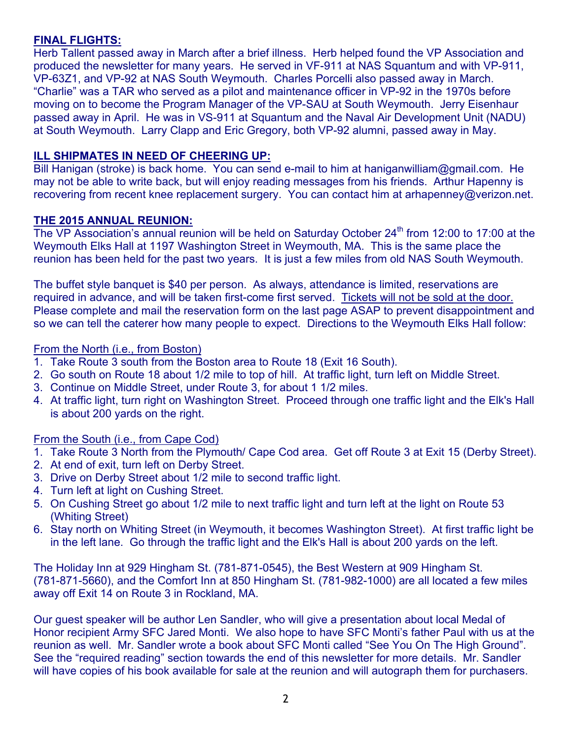# **FINAL FLIGHTS:**

Herb Tallent passed away in March after a brief illness. Herb helped found the VP Association and produced the newsletter for many years. He served in VF-911 at NAS Squantum and with VP-911, VP-63Z1, and VP-92 at NAS South Weymouth. Charles Porcelli also passed away in March. "Charlie" was a TAR who served as a pilot and maintenance officer in VP-92 in the 1970s before moving on to become the Program Manager of the VP-SAU at South Weymouth. Jerry Eisenhaur passed away in April. He was in VS-911 at Squantum and the Naval Air Development Unit (NADU) at South Weymouth. Larry Clapp and Eric Gregory, both VP-92 alumni, passed away in May.

# **ILL SHIPMATES IN NEED OF CHEERING UP:**

Bill Hanigan (stroke) is back home. You can send e-mail to him at haniganwilliam@gmail.com. He may not be able to write back, but will enjoy reading messages from his friends. Arthur Hapenny is recovering from recent knee replacement surgery. You can contact him at arhapenney@verizon.net.

# **THE 2015 ANNUAL REUNION:**

The VP Association's annual reunion will be held on Saturday October  $24<sup>th</sup>$  from 12:00 to 17:00 at the Weymouth Elks Hall at 1197 Washington Street in Weymouth, MA. This is the same place the reunion has been held for the past two years. It is just a few miles from old NAS South Weymouth.

The buffet style banquet is \$40 per person. As always, attendance is limited, reservations are required in advance, and will be taken first-come first served. Tickets will not be sold at the door. Please complete and mail the reservation form on the last page ASAP to prevent disappointment and so we can tell the caterer how many people to expect. Directions to the Weymouth Elks Hall follow:

# From the North (i.e., from Boston)

- 1. Take Route 3 south from the Boston area to Route 18 (Exit 16 South).
- 2. Go south on Route 18 about 1/2 mile to top of hill. At traffic light, turn left on Middle Street.
- 3. Continue on Middle Street, under Route 3, for about 1 1/2 miles.
- 4. At traffic light, turn right on Washington Street. Proceed through one traffic light and the Elk's Hall is about 200 yards on the right.

# From the South (i.e., from Cape Cod)

- 1. Take Route 3 North from the Plymouth/ Cape Cod area. Get off Route 3 at Exit 15 (Derby Street).
- 2. At end of exit, turn left on Derby Street.
- 3. Drive on Derby Street about 1/2 mile to second traffic light.
- 4. Turn left at light on Cushing Street.
- 5. On Cushing Street go about 1/2 mile to next traffic light and turn left at the light on Route 53 (Whiting Street)
- 6. Stay north on Whiting Street (in Weymouth, it becomes Washington Street). At first traffic light be in the left lane. Go through the traffic light and the Elk's Hall is about 200 yards on the left.

The Holiday Inn at 929 Hingham St. (781-871-0545), the Best Western at 909 Hingham St. (781-871-5660), and the Comfort Inn at 850 Hingham St. (781-982-1000) are all located a few miles away off Exit 14 on Route 3 in Rockland, MA.

Our guest speaker will be author Len Sandler, who will give a presentation about local Medal of Honor recipient Army SFC Jared Monti. We also hope to have SFC Monti's father Paul with us at the reunion as well. Mr. Sandler wrote a book about SFC Monti called "See You On The High Ground". See the "required reading" section towards the end of this newsletter for more details. Mr. Sandler will have copies of his book available for sale at the reunion and will autograph them for purchasers.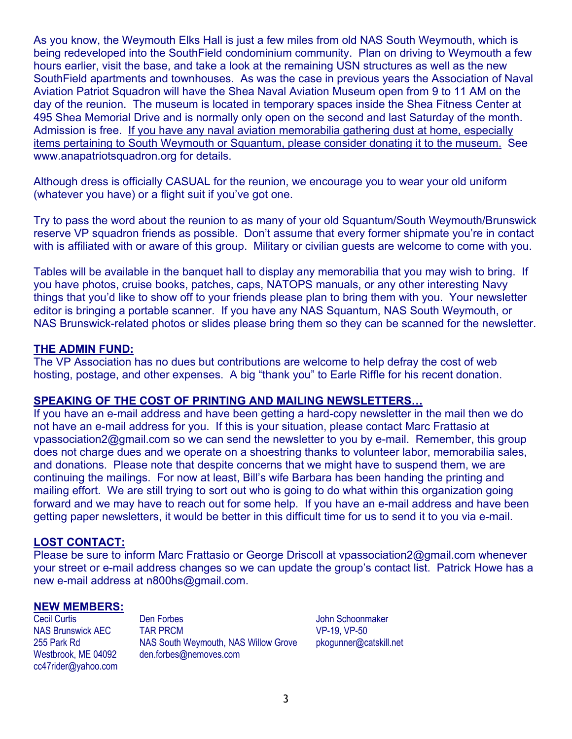As you know, the Weymouth Elks Hall is just a few miles from old NAS South Weymouth, which is being redeveloped into the SouthField condominium community. Plan on driving to Weymouth a few hours earlier, visit the base, and take a look at the remaining USN structures as well as the new SouthField apartments and townhouses. As was the case in previous years the Association of Naval Aviation Patriot Squadron will have the Shea Naval Aviation Museum open from 9 to 11 AM on the day of the reunion. The museum is located in temporary spaces inside the Shea Fitness Center at 495 Shea Memorial Drive and is normally only open on the second and last Saturday of the month. Admission is free. If you have any naval aviation memorabilia gathering dust at home, especially items pertaining to South Weymouth or Squantum, please consider donating it to the museum. See www.anapatriotsquadron.org for details.

Although dress is officially CASUAL for the reunion, we encourage you to wear your old uniform (whatever you have) or a flight suit if you've got one.

Try to pass the word about the reunion to as many of your old Squantum/South Weymouth/Brunswick reserve VP squadron friends as possible. Don't assume that every former shipmate you're in contact with is affiliated with or aware of this group. Military or civilian guests are welcome to come with you.

Tables will be available in the banquet hall to display any memorabilia that you may wish to bring. If you have photos, cruise books, patches, caps, NATOPS manuals, or any other interesting Navy things that you'd like to show off to your friends please plan to bring them with you. Your newsletter editor is bringing a portable scanner. If you have any NAS Squantum, NAS South Weymouth, or NAS Brunswick-related photos or slides please bring them so they can be scanned for the newsletter.

#### **THE ADMIN FUND:**

The VP Association has no dues but contributions are welcome to help defray the cost of web hosting, postage, and other expenses. A big "thank you" to Earle Riffle for his recent donation.

#### **SPEAKING OF THE COST OF PRINTING AND MAILING NEWSLETTERS…**

If you have an e-mail address and have been getting a hard-copy newsletter in the mail then we do not have an e-mail address for you. If this is your situation, please contact Marc Frattasio at vpassociation2@gmail.com so we can send the newsletter to you by e-mail. Remember, this group does not charge dues and we operate on a shoestring thanks to volunteer labor, memorabilia sales, and donations. Please note that despite concerns that we might have to suspend them, we are continuing the mailings. For now at least, Bill's wife Barbara has been handing the printing and mailing effort. We are still trying to sort out who is going to do what within this organization going forward and we may have to reach out for some help. If you have an e-mail address and have been getting paper newsletters, it would be better in this difficult time for us to send it to you via e-mail.

#### **LOST CONTACT:**

Please be sure to inform Marc Frattasio or George Driscoll at vpassociation2@gmail.com whenever your street or e-mail address changes so we can update the group's contact list. Patrick Howe has a new e-mail address at n800hs@gmail.com.

#### **NEW MEMBERS:**

Cecil Curtis NAS Brunswick AEC 255 Park Rd Westbrook, ME 04092 cc47rider@yahoo.com

Den Forbes TAR PRCM NAS South Weymouth, NAS Willow Grove den.forbes@nemoves.com

John Schoonmaker VP-19, VP-50 pkogunner@catskill.net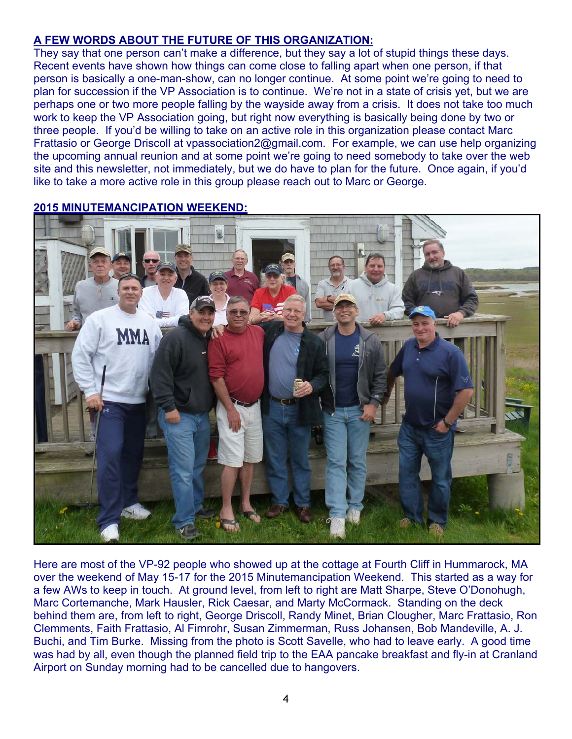# **A FEW WORDS ABOUT THE FUTURE OF THIS ORGANIZATION:**

They say that one person can't make a difference, but they say a lot of stupid things these days. Recent events have shown how things can come close to falling apart when one person, if that person is basically a one-man-show, can no longer continue. At some point we're going to need to plan for succession if the VP Association is to continue. We're not in a state of crisis yet, but we are perhaps one or two more people falling by the wayside away from a crisis. It does not take too much work to keep the VP Association going, but right now everything is basically being done by two or three people. If you'd be willing to take on an active role in this organization please contact Marc Frattasio or George Driscoll at vpassociation2@gmail.com. For example, we can use help organizing the upcoming annual reunion and at some point we're going to need somebody to take over the web site and this newsletter, not immediately, but we do have to plan for the future. Once again, if you'd like to take a more active role in this group please reach out to Marc or George.

**2015 MINUTEMANCIPATION WEEKEND:**



Here are most of the VP-92 people who showed up at the cottage at Fourth Cliff in Hummarock, MA over the weekend of May 15-17 for the 2015 Minutemancipation Weekend. This started as a way for a few AWs to keep in touch. At ground level, from left to right are Matt Sharpe, Steve O'Donohugh, Marc Cortemanche, Mark Hausler, Rick Caesar, and Marty McCormack. Standing on the deck behind them are, from left to right, George Driscoll, Randy Minet, Brian Clougher, Marc Frattasio, Ron Clemments, Faith Frattasio, Al Firnrohr, Susan Zimmerman, Russ Johansen, Bob Mandeville, A. J. Buchi, and Tim Burke. Missing from the photo is Scott Savelle, who had to leave early. A good time was had by all, even though the planned field trip to the EAA pancake breakfast and fly-in at Cranland Airport on Sunday morning had to be cancelled due to hangovers.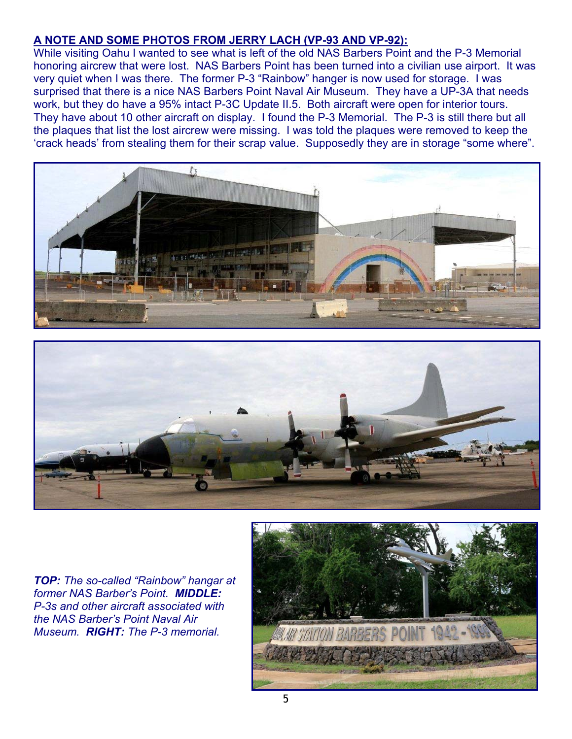# **A NOTE AND SOME PHOTOS FROM JERRY LACH (VP-93 AND VP-92):**

While visiting Oahu I wanted to see what is left of the old NAS Barbers Point and the P-3 Memorial honoring aircrew that were lost. NAS Barbers Point has been turned into a civilian use airport. It was very quiet when I was there. The former P-3 "Rainbow" hanger is now used for storage. I was surprised that there is a nice NAS Barbers Point Naval Air Museum. They have a UP-3A that needs work, but they do have a 95% intact P-3C Update II.5. Both aircraft were open for interior tours. They have about 10 other aircraft on display. I found the P-3 Memorial. The P-3 is still there but all the plaques that list the lost aircrew were missing. I was told the plaques were removed to keep the 'crack heads' from stealing them for their scrap value. Supposedly they are in storage "some where".





*TOP: The so-called "Rainbow" hangar at former NAS Barber's Point. MIDDLE: P-3s and other aircraft associated with the NAS Barber's Point Naval Air Museum. RIGHT: The P-3 memorial.* 

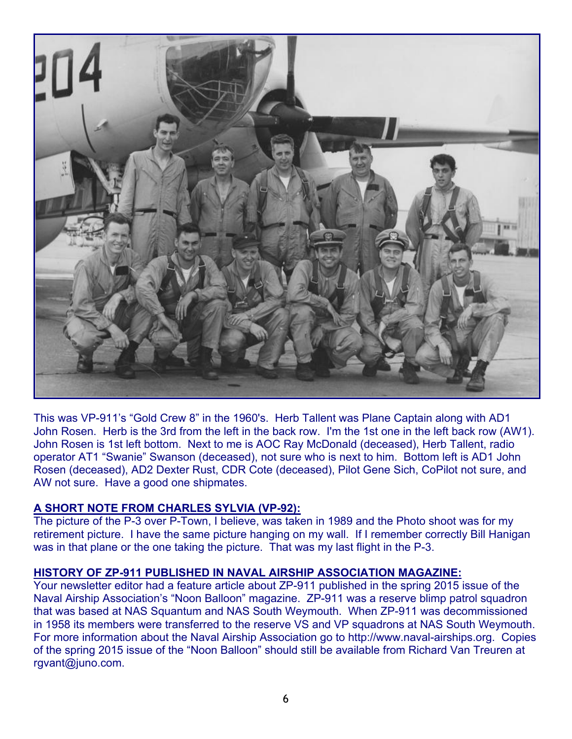

This was VP-911's "Gold Crew 8" in the 1960's. Herb Tallent was Plane Captain along with AD1 John Rosen. Herb is the 3rd from the left in the back row. I'm the 1st one in the left back row (AW1). John Rosen is 1st left bottom. Next to me is AOC Ray McDonald (deceased), Herb Tallent, radio operator AT1 "Swanie" Swanson (deceased), not sure who is next to him. Bottom left is AD1 John Rosen (deceased), AD2 Dexter Rust, CDR Cote (deceased), Pilot Gene Sich, CoPilot not sure, and AW not sure. Have a good one shipmates.

### **A SHORT NOTE FROM CHARLES SYLVIA (VP-92):**

The picture of the P-3 over P-Town, I believe, was taken in 1989 and the Photo shoot was for my retirement picture. I have the same picture hanging on my wall. If I remember correctly Bill Hanigan was in that plane or the one taking the picture. That was my last flight in the P-3.

# **HISTORY OF ZP-911 PUBLISHED IN NAVAL AIRSHIP ASSOCIATION MAGAZINE:**

Your newsletter editor had a feature article about ZP-911 published in the spring 2015 issue of the Naval Airship Association's "Noon Balloon" magazine. ZP-911 was a reserve blimp patrol squadron that was based at NAS Squantum and NAS South Weymouth. When ZP-911 was decommissioned in 1958 its members were transferred to the reserve VS and VP squadrons at NAS South Weymouth. For more information about the Naval Airship Association go to http://www.naval-airships.org. Copies of the spring 2015 issue of the "Noon Balloon" should still be available from Richard Van Treuren at rgvant@juno.com.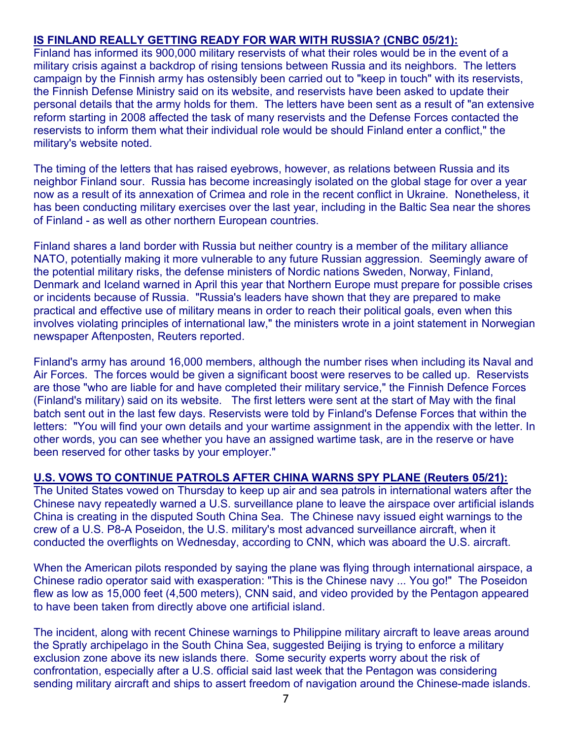# **IS FINLAND REALLY GETTING READY FOR WAR WITH RUSSIA? (CNBC 05/21):**

Finland has informed its 900,000 military reservists of what their roles would be in the event of a military crisis against a backdrop of rising tensions between Russia and its neighbors. The letters campaign by the Finnish army has ostensibly been carried out to "keep in touch" with its reservists, the Finnish Defense Ministry said on its website, and reservists have been asked to update their personal details that the army holds for them. The letters have been sent as a result of "an extensive reform starting in 2008 affected the task of many reservists and the Defense Forces contacted the reservists to inform them what their individual role would be should Finland enter a conflict," the military's website noted.

The timing of the letters that has raised eyebrows, however, as relations between Russia and its neighbor Finland sour. Russia has become increasingly isolated on the global stage for over a year now as a result of its annexation of Crimea and role in the recent conflict in Ukraine. Nonetheless, it has been conducting military exercises over the last year, including in the Baltic Sea near the shores of Finland - as well as other northern European countries.

Finland shares a land border with Russia but neither country is a member of the military alliance NATO, potentially making it more vulnerable to any future Russian aggression. Seemingly aware of the potential military risks, the defense ministers of Nordic nations Sweden, Norway, Finland, Denmark and Iceland warned in April this year that Northern Europe must prepare for possible crises or incidents because of Russia. "Russia's leaders have shown that they are prepared to make practical and effective use of military means in order to reach their political goals, even when this involves violating principles of international law," the ministers wrote in a joint statement in Norwegian newspaper Aftenposten, Reuters reported.

Finland's army has around 16,000 members, although the number rises when including its Naval and Air Forces. The forces would be given a significant boost were reserves to be called up. Reservists are those "who are liable for and have completed their military service," the Finnish Defence Forces (Finland's military) said on its website. The first letters were sent at the start of May with the final batch sent out in the last few days. Reservists were told by Finland's Defense Forces that within the letters: "You will find your own details and your wartime assignment in the appendix with the letter. In other words, you can see whether you have an assigned wartime task, are in the reserve or have been reserved for other tasks by your employer."

### **U.S. VOWS TO CONTINUE PATROLS AFTER CHINA WARNS SPY PLANE (Reuters 05/21):**

The United States vowed on Thursday to keep up air and sea patrols in international waters after the Chinese navy repeatedly warned a U.S. surveillance plane to leave the airspace over artificial islands China is creating in the disputed South China Sea. The Chinese navy issued eight warnings to the crew of a U.S. P8-A Poseidon, the U.S. military's most advanced surveillance aircraft, when it conducted the overflights on Wednesday, according to CNN, which was aboard the U.S. aircraft.

When the American pilots responded by saying the plane was flying through international airspace, a Chinese radio operator said with exasperation: "This is the Chinese navy ... You go!" The Poseidon flew as low as 15,000 feet (4,500 meters), CNN said, and video provided by the Pentagon appeared to have been taken from directly above one artificial island.

The incident, along with recent Chinese warnings to Philippine military aircraft to leave areas around the Spratly archipelago in the South China Sea, suggested Beijing is trying to enforce a military exclusion zone above its new islands there. Some security experts worry about the risk of confrontation, especially after a U.S. official said last week that the Pentagon was considering sending military aircraft and ships to assert freedom of navigation around the Chinese-made islands.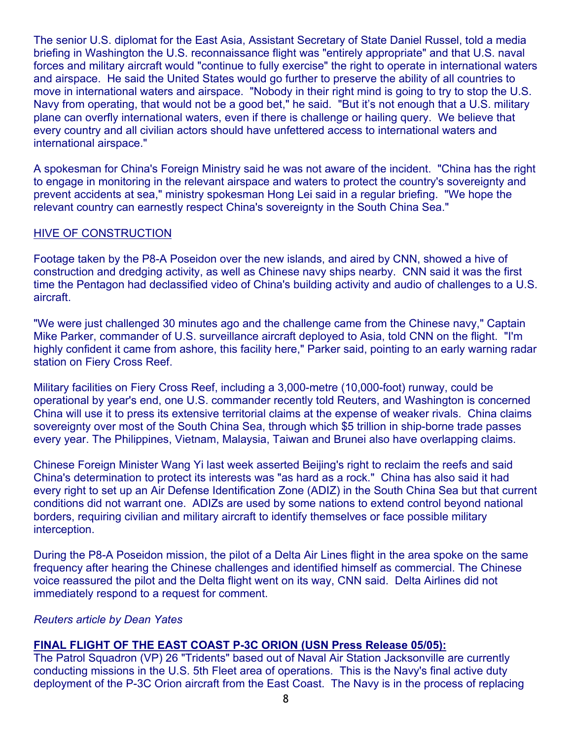The senior U.S. diplomat for the East Asia, Assistant Secretary of State Daniel Russel, told a media briefing in Washington the U.S. reconnaissance flight was "entirely appropriate" and that U.S. naval forces and military aircraft would "continue to fully exercise" the right to operate in international waters and airspace. He said the United States would go further to preserve the ability of all countries to move in international waters and airspace. "Nobody in their right mind is going to try to stop the U.S. Navy from operating, that would not be a good bet," he said. "But it's not enough that a U.S. military plane can overfly international waters, even if there is challenge or hailing query. We believe that every country and all civilian actors should have unfettered access to international waters and international airspace."

A spokesman for China's Foreign Ministry said he was not aware of the incident. "China has the right to engage in monitoring in the relevant airspace and waters to protect the country's sovereignty and prevent accidents at sea," ministry spokesman Hong Lei said in a regular briefing. "We hope the relevant country can earnestly respect China's sovereignty in the South China Sea."

#### HIVE OF CONSTRUCTION

Footage taken by the P8-A Poseidon over the new islands, and aired by CNN, showed a hive of construction and dredging activity, as well as Chinese navy ships nearby. CNN said it was the first time the Pentagon had declassified video of China's building activity and audio of challenges to a U.S. aircraft.

"We were just challenged 30 minutes ago and the challenge came from the Chinese navy," Captain Mike Parker, commander of U.S. surveillance aircraft deployed to Asia, told CNN on the flight. "I'm highly confident it came from ashore, this facility here," Parker said, pointing to an early warning radar station on Fiery Cross Reef.

Military facilities on Fiery Cross Reef, including a 3,000-metre (10,000-foot) runway, could be operational by year's end, one U.S. commander recently told Reuters, and Washington is concerned China will use it to press its extensive territorial claims at the expense of weaker rivals. China claims sovereignty over most of the South China Sea, through which \$5 trillion in ship-borne trade passes every year. The Philippines, Vietnam, Malaysia, Taiwan and Brunei also have overlapping claims.

Chinese Foreign Minister Wang Yi last week asserted Beijing's right to reclaim the reefs and said China's determination to protect its interests was "as hard as a rock." China has also said it had every right to set up an Air Defense Identification Zone (ADIZ) in the South China Sea but that current conditions did not warrant one. ADIZs are used by some nations to extend control beyond national borders, requiring civilian and military aircraft to identify themselves or face possible military interception.

During the P8-A Poseidon mission, the pilot of a Delta Air Lines flight in the area spoke on the same frequency after hearing the Chinese challenges and identified himself as commercial. The Chinese voice reassured the pilot and the Delta flight went on its way, CNN said. Delta Airlines did not immediately respond to a request for comment.

#### *Reuters article by Dean Yates*

# **FINAL FLIGHT OF THE EAST COAST P-3C ORION (USN Press Release 05/05):**

The Patrol Squadron (VP) 26 "Tridents" based out of Naval Air Station Jacksonville are currently conducting missions in the U.S. 5th Fleet area of operations. This is the Navy's final active duty deployment of the P-3C Orion aircraft from the East Coast. The Navy is in the process of replacing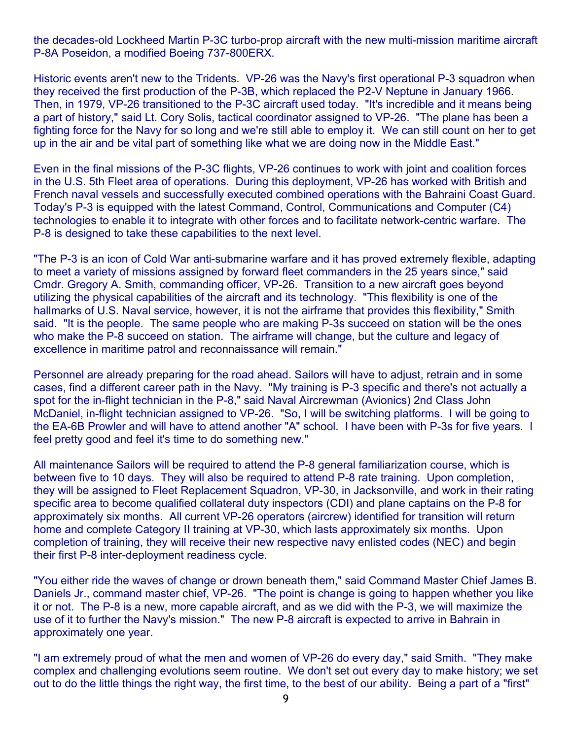the decades-old Lockheed Martin P-3C turbo-prop aircraft with the new multi-mission maritime aircraft P-8A Poseidon, a modified Boeing 737-800ERX.

Historic events aren't new to the Tridents. VP-26 was the Navy's first operational P-3 squadron when they received the first production of the P-3B, which replaced the P2-V Neptune in January 1966. Then, in 1979, VP-26 transitioned to the P-3C aircraft used today. "It's incredible and it means being a part of history," said Lt. Cory Solis, tactical coordinator assigned to VP-26. "The plane has been a fighting force for the Navy for so long and we're still able to employ it. We can still count on her to get up in the air and be vital part of something like what we are doing now in the Middle East."

Even in the final missions of the P-3C flights, VP-26 continues to work with joint and coalition forces in the U.S. 5th Fleet area of operations. During this deployment, VP-26 has worked with British and French naval vessels and successfully executed combined operations with the Bahraini Coast Guard. Today's P-3 is equipped with the latest Command, Control, Communications and Computer (C4) technologies to enable it to integrate with other forces and to facilitate network-centric warfare. The P-8 is designed to take these capabilities to the next level.

"The P-3 is an icon of Cold War anti-submarine warfare and it has proved extremely flexible, adapting to meet a variety of missions assigned by forward fleet commanders in the 25 years since," said Cmdr. Gregory A. Smith, commanding officer, VP-26. Transition to a new aircraft goes beyond utilizing the physical capabilities of the aircraft and its technology. "This flexibility is one of the hallmarks of U.S. Naval service, however, it is not the airframe that provides this flexibility," Smith said. "It is the people. The same people who are making P-3s succeed on station will be the ones who make the P-8 succeed on station. The airframe will change, but the culture and legacy of excellence in maritime patrol and reconnaissance will remain."

Personnel are already preparing for the road ahead. Sailors will have to adjust, retrain and in some cases, find a different career path in the Navy. "My training is P-3 specific and there's not actually a spot for the in-flight technician in the P-8," said Naval Aircrewman (Avionics) 2nd Class John McDaniel, in-flight technician assigned to VP-26. "So, I will be switching platforms. I will be going to the EA-6B Prowler and will have to attend another "A" school. I have been with P-3s for five years. I feel pretty good and feel it's time to do something new."

All maintenance Sailors will be required to attend the P-8 general familiarization course, which is between five to 10 days. They will also be required to attend P-8 rate training. Upon completion, they will be assigned to Fleet Replacement Squadron, VP-30, in Jacksonville, and work in their rating specific area to become qualified collateral duty inspectors (CDI) and plane captains on the P-8 for approximately six months. All current VP-26 operators (aircrew) identified for transition will return home and complete Category II training at VP-30, which lasts approximately six months. Upon completion of training, they will receive their new respective navy enlisted codes (NEC) and begin their first P-8 inter-deployment readiness cycle.

"You either ride the waves of change or drown beneath them," said Command Master Chief James B. Daniels Jr., command master chief, VP-26. "The point is change is going to happen whether you like it or not. The P-8 is a new, more capable aircraft, and as we did with the P-3, we will maximize the use of it to further the Navy's mission." The new P-8 aircraft is expected to arrive in Bahrain in approximately one year.

"I am extremely proud of what the men and women of VP-26 do every day," said Smith. "They make complex and challenging evolutions seem routine. We don't set out every day to make history; we set out to do the little things the right way, the first time, to the best of our ability. Being a part of a "first"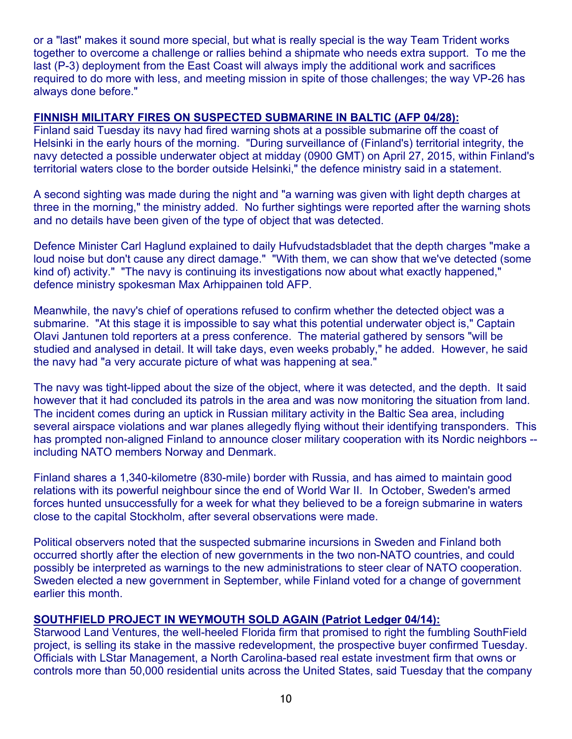or a "last" makes it sound more special, but what is really special is the way Team Trident works together to overcome a challenge or rallies behind a shipmate who needs extra support. To me the last (P-3) deployment from the East Coast will always imply the additional work and sacrifices required to do more with less, and meeting mission in spite of those challenges; the way VP-26 has always done before."

## **FINNISH MILITARY FIRES ON SUSPECTED SUBMARINE IN BALTIC (AFP 04/28):**

Finland said Tuesday its navy had fired warning shots at a possible submarine off the coast of Helsinki in the early hours of the morning. "During surveillance of (Finland's) territorial integrity, the navy detected a possible underwater object at midday (0900 GMT) on April 27, 2015, within Finland's territorial waters close to the border outside Helsinki," the defence ministry said in a statement.

A second sighting was made during the night and "a warning was given with light depth charges at three in the morning," the ministry added. No further sightings were reported after the warning shots and no details have been given of the type of object that was detected.

Defence Minister Carl Haglund explained to daily Hufvudstadsbladet that the depth charges "make a loud noise but don't cause any direct damage." "With them, we can show that we've detected (some kind of) activity." "The navy is continuing its investigations now about what exactly happened," defence ministry spokesman Max Arhippainen told AFP.

Meanwhile, the navy's chief of operations refused to confirm whether the detected object was a submarine. "At this stage it is impossible to say what this potential underwater object is," Captain Olavi Jantunen told reporters at a press conference. The material gathered by sensors "will be studied and analysed in detail. It will take days, even weeks probably," he added. However, he said the navy had "a very accurate picture of what was happening at sea."

The navy was tight-lipped about the size of the object, where it was detected, and the depth. It said however that it had concluded its patrols in the area and was now monitoring the situation from land. The incident comes during an uptick in Russian military activity in the Baltic Sea area, including several airspace violations and war planes allegedly flying without their identifying transponders. This has prompted non-aligned Finland to announce closer military cooperation with its Nordic neighbors - including NATO members Norway and Denmark.

Finland shares a 1,340-kilometre (830-mile) border with Russia, and has aimed to maintain good relations with its powerful neighbour since the end of World War II. In October, Sweden's armed forces hunted unsuccessfully for a week for what they believed to be a foreign submarine in waters close to the capital Stockholm, after several observations were made.

Political observers noted that the suspected submarine incursions in Sweden and Finland both occurred shortly after the election of new governments in the two non-NATO countries, and could possibly be interpreted as warnings to the new administrations to steer clear of NATO cooperation. Sweden elected a new government in September, while Finland voted for a change of government earlier this month.

### **SOUTHFIELD PROJECT IN WEYMOUTH SOLD AGAIN (Patriot Ledger 04/14):**

Starwood Land Ventures, the well-heeled Florida firm that promised to right the fumbling SouthField project, is selling its stake in the massive redevelopment, the prospective buyer confirmed Tuesday. Officials with LStar Management, a North Carolina-based real estate investment firm that owns or controls more than 50,000 residential units across the United States, said Tuesday that the company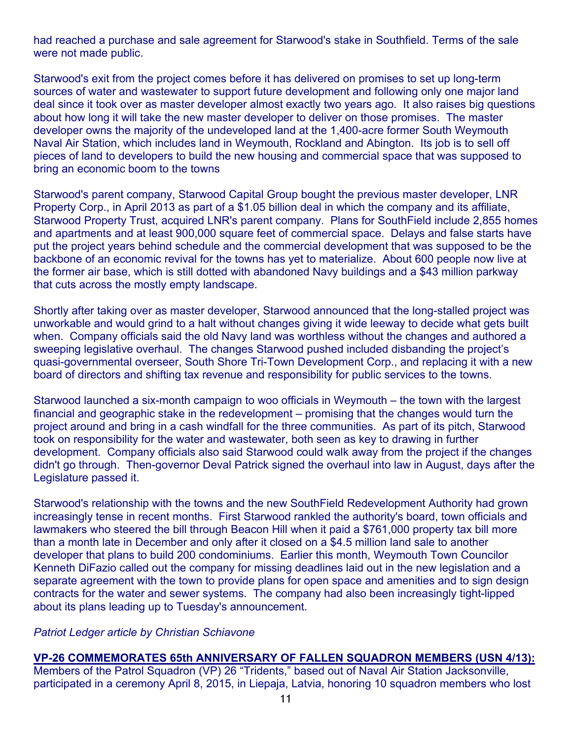had reached a purchase and sale agreement for Starwood's stake in Southfield. Terms of the sale were not made public.

Starwood's exit from the project comes before it has delivered on promises to set up long-term sources of water and wastewater to support future development and following only one major land deal since it took over as master developer almost exactly two years ago. It also raises big questions about how long it will take the new master developer to deliver on those promises. The master developer owns the majority of the undeveloped land at the 1,400-acre former South Weymouth Naval Air Station, which includes land in Weymouth, Rockland and Abington. Its job is to sell off pieces of land to developers to build the new housing and commercial space that was supposed to bring an economic boom to the towns

Starwood's parent company, Starwood Capital Group bought the previous master developer, LNR Property Corp., in April 2013 as part of a \$1.05 billion deal in which the company and its affiliate, Starwood Property Trust, acquired LNR's parent company. Plans for SouthField include 2,855 homes and apartments and at least 900,000 square feet of commercial space. Delays and false starts have put the project years behind schedule and the commercial development that was supposed to be the backbone of an economic revival for the towns has yet to materialize. About 600 people now live at the former air base, which is still dotted with abandoned Navy buildings and a \$43 million parkway that cuts across the mostly empty landscape.

Shortly after taking over as master developer, Starwood announced that the long-stalled project was unworkable and would grind to a halt without changes giving it wide leeway to decide what gets built when. Company officials said the old Navy land was worthless without the changes and authored a sweeping legislative overhaul. The changes Starwood pushed included disbanding the project's quasi-governmental overseer, South Shore Tri-Town Development Corp., and replacing it with a new board of directors and shifting tax revenue and responsibility for public services to the towns.

Starwood launched a six-month campaign to woo officials in Weymouth – the town with the largest financial and geographic stake in the redevelopment – promising that the changes would turn the project around and bring in a cash windfall for the three communities. As part of its pitch, Starwood took on responsibility for the water and wastewater, both seen as key to drawing in further development. Company officials also said Starwood could walk away from the project if the changes didn't go through. Then-governor Deval Patrick signed the overhaul into law in August, days after the Legislature passed it.

Starwood's relationship with the towns and the new SouthField Redevelopment Authority had grown increasingly tense in recent months. First Starwood rankled the authority's board, town officials and lawmakers who steered the bill through Beacon Hill when it paid a \$761,000 property tax bill more than a month late in December and only after it closed on a \$4.5 million land sale to another developer that plans to build 200 condominiums. Earlier this month, Weymouth Town Councilor Kenneth DiFazio called out the company for missing deadlines laid out in the new legislation and a separate agreement with the town to provide plans for open space and amenities and to sign design contracts for the water and sewer systems. The company had also been increasingly tight-lipped about its plans leading up to Tuesday's announcement.

### *Patriot Ledger article by Christian Schiavone*

### **VP-26 COMMEMORATES 65th ANNIVERSARY OF FALLEN SQUADRON MEMBERS (USN 4/13):**

Members of the Patrol Squadron (VP) 26 "Tridents," based out of Naval Air Station Jacksonville, participated in a ceremony April 8, 2015, in Liepaja, Latvia, honoring 10 squadron members who lost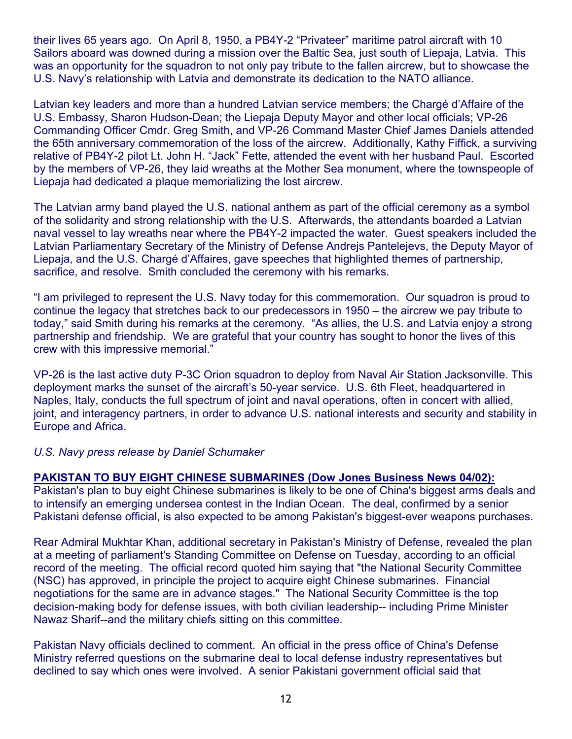their lives 65 years ago. On April 8, 1950, a PB4Y-2 "Privateer" maritime patrol aircraft with 10 Sailors aboard was downed during a mission over the Baltic Sea, just south of Liepaja, Latvia. This was an opportunity for the squadron to not only pay tribute to the fallen aircrew, but to showcase the U.S. Navy's relationship with Latvia and demonstrate its dedication to the NATO alliance.

Latvian key leaders and more than a hundred Latvian service members; the Chargé d'Affaire of the U.S. Embassy, Sharon Hudson-Dean; the Liepaja Deputy Mayor and other local officials; VP-26 Commanding Officer Cmdr. Greg Smith, and VP-26 Command Master Chief James Daniels attended the 65th anniversary commemoration of the loss of the aircrew. Additionally, Kathy Fiffick, a surviving relative of PB4Y-2 pilot Lt. John H. "Jack" Fette, attended the event with her husband Paul. Escorted by the members of VP-26, they laid wreaths at the Mother Sea monument, where the townspeople of Liepaja had dedicated a plaque memorializing the lost aircrew.

The Latvian army band played the U.S. national anthem as part of the official ceremony as a symbol of the solidarity and strong relationship with the U.S. Afterwards, the attendants boarded a Latvian naval vessel to lay wreaths near where the PB4Y-2 impacted the water. Guest speakers included the Latvian Parliamentary Secretary of the Ministry of Defense Andrejs Pantelejevs, the Deputy Mayor of Liepaja, and the U.S. Chargé d'Affaires, gave speeches that highlighted themes of partnership, sacrifice, and resolve. Smith concluded the ceremony with his remarks.

"I am privileged to represent the U.S. Navy today for this commemoration. Our squadron is proud to continue the legacy that stretches back to our predecessors in 1950 – the aircrew we pay tribute to today," said Smith during his remarks at the ceremony. "As allies, the U.S. and Latvia enjoy a strong partnership and friendship. We are grateful that your country has sought to honor the lives of this crew with this impressive memorial."

VP-26 is the last active duty P-3C Orion squadron to deploy from Naval Air Station Jacksonville. This deployment marks the sunset of the aircraft's 50-year service. U.S. 6th Fleet, headquartered in Naples, Italy, conducts the full spectrum of joint and naval operations, often in concert with allied, joint, and interagency partners, in order to advance U.S. national interests and security and stability in Europe and Africa.

### *U.S. Navy press release by Daniel Schumaker*

### **PAKISTAN TO BUY EIGHT CHINESE SUBMARINES (Dow Jones Business News 04/02):**

Pakistan's plan to buy eight Chinese submarines is likely to be one of China's biggest arms deals and to intensify an emerging undersea contest in the Indian Ocean. The deal, confirmed by a senior Pakistani defense official, is also expected to be among Pakistan's biggest-ever weapons purchases.

Rear Admiral Mukhtar Khan, additional secretary in Pakistan's Ministry of Defense, revealed the plan at a meeting of parliament's Standing Committee on Defense on Tuesday, according to an official record of the meeting. The official record quoted him saying that "the National Security Committee (NSC) has approved, in principle the project to acquire eight Chinese submarines. Financial negotiations for the same are in advance stages." The National Security Committee is the top decision-making body for defense issues, with both civilian leadership-- including Prime Minister Nawaz Sharif--and the military chiefs sitting on this committee.

Pakistan Navy officials declined to comment. An official in the press office of China's Defense Ministry referred questions on the submarine deal to local defense industry representatives but declined to say which ones were involved. A senior Pakistani government official said that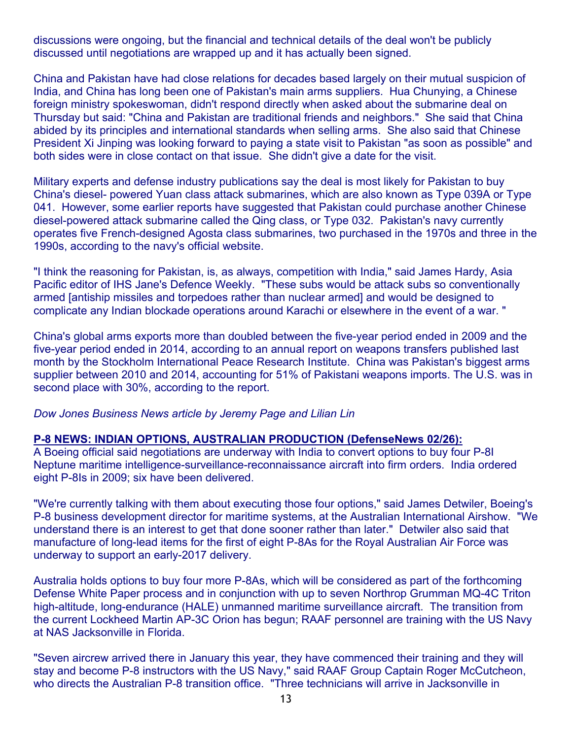discussions were ongoing, but the financial and technical details of the deal won't be publicly discussed until negotiations are wrapped up and it has actually been signed.

China and Pakistan have had close relations for decades based largely on their mutual suspicion of India, and China has long been one of Pakistan's main arms suppliers. Hua Chunying, a Chinese foreign ministry spokeswoman, didn't respond directly when asked about the submarine deal on Thursday but said: "China and Pakistan are traditional friends and neighbors." She said that China abided by its principles and international standards when selling arms. She also said that Chinese President Xi Jinping was looking forward to paying a state visit to Pakistan "as soon as possible" and both sides were in close contact on that issue. She didn't give a date for the visit.

Military experts and defense industry publications say the deal is most likely for Pakistan to buy China's diesel- powered Yuan class attack submarines, which are also known as Type 039A or Type 041. However, some earlier reports have suggested that Pakistan could purchase another Chinese diesel-powered attack submarine called the Qing class, or Type 032. Pakistan's navy currently operates five French-designed Agosta class submarines, two purchased in the 1970s and three in the 1990s, according to the navy's official website.

"I think the reasoning for Pakistan, is, as always, competition with India," said James Hardy, Asia Pacific editor of IHS Jane's Defence Weekly. "These subs would be attack subs so conventionally armed [antiship missiles and torpedoes rather than nuclear armed] and would be designed to complicate any Indian blockade operations around Karachi or elsewhere in the event of a war. "

China's global arms exports more than doubled between the five-year period ended in 2009 and the five-year period ended in 2014, according to an annual report on weapons transfers published last month by the Stockholm International Peace Research Institute. China was Pakistan's biggest arms supplier between 2010 and 2014, accounting for 51% of Pakistani weapons imports. The U.S. was in second place with 30%, according to the report.

*Dow Jones Business News article by Jeremy Page and Lilian Lin* 

#### **P-8 NEWS: INDIAN OPTIONS, AUSTRALIAN PRODUCTION (DefenseNews 02/26):**

A Boeing official said negotiations are underway with India to convert options to buy four P-8I Neptune maritime intelligence-surveillance-reconnaissance aircraft into firm orders. India ordered eight P-8Is in 2009; six have been delivered.

"We're currently talking with them about executing those four options," said James Detwiler, Boeing's P-8 business development director for maritime systems, at the Australian International Airshow. "We understand there is an interest to get that done sooner rather than later." Detwiler also said that manufacture of long-lead items for the first of eight P-8As for the Royal Australian Air Force was underway to support an early-2017 delivery.

Australia holds options to buy four more P-8As, which will be considered as part of the forthcoming Defense White Paper process and in conjunction with up to seven Northrop Grumman MQ-4C Triton high-altitude, long-endurance (HALE) unmanned maritime surveillance aircraft. The transition from the current Lockheed Martin AP-3C Orion has begun; RAAF personnel are training with the US Navy at NAS Jacksonville in Florida.

"Seven aircrew arrived there in January this year, they have commenced their training and they will stay and become P-8 instructors with the US Navy," said RAAF Group Captain Roger McCutcheon, who directs the Australian P-8 transition office. "Three technicians will arrive in Jacksonville in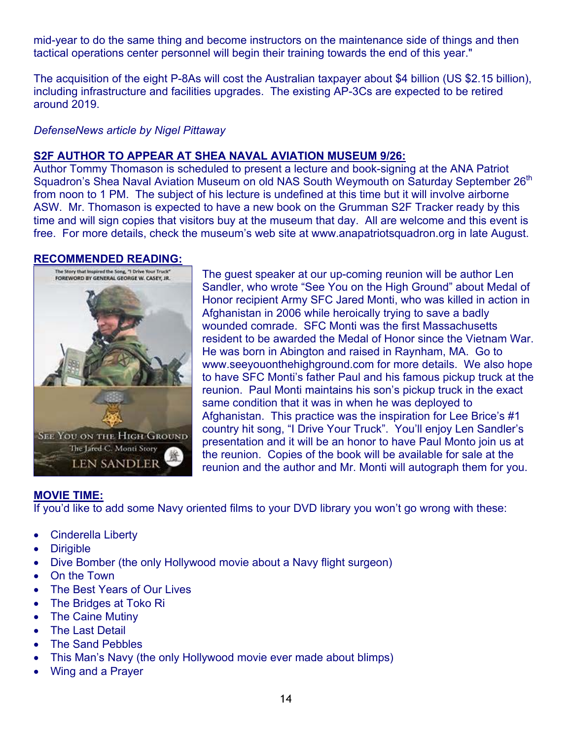mid-year to do the same thing and become instructors on the maintenance side of things and then tactical operations center personnel will begin their training towards the end of this year."

The acquisition of the eight P-8As will cost the Australian taxpayer about \$4 billion (US \$2.15 billion), including infrastructure and facilities upgrades. The existing AP-3Cs are expected to be retired around 2019.

#### *DefenseNews article by Nigel Pittaway*

# **S2F AUTHOR TO APPEAR AT SHEA NAVAL AVIATION MUSEUM 9/26:**

Author Tommy Thomason is scheduled to present a lecture and book-signing at the ANA Patriot Squadron's Shea Naval Aviation Museum on old NAS South Weymouth on Saturday September 26<sup>th</sup> from noon to 1 PM. The subject of his lecture is undefined at this time but it will involve airborne ASW. Mr. Thomason is expected to have a new book on the Grumman S2F Tracker ready by this time and will sign copies that visitors buy at the museum that day. All are welcome and this event is free. For more details, check the museum's web site at www.anapatriotsquadron.org in late August.

#### **RECOMMENDED READING:**



The guest speaker at our up-coming reunion will be author Len Sandler, who wrote "See You on the High Ground" about Medal of Honor recipient Army SFC Jared Monti, who was killed in action in Afghanistan in 2006 while heroically trying to save a badly wounded comrade. SFC Monti was the first Massachusetts resident to be awarded the Medal of Honor since the Vietnam War. He was born in Abington and raised in Raynham, MA. Go to www.seeyouonthehighground.com for more details. We also hope to have SFC Monti's father Paul and his famous pickup truck at the reunion. Paul Monti maintains his son's pickup truck in the exact same condition that it was in when he was deployed to Afghanistan. This practice was the inspiration for Lee Brice's #1 country hit song, "I Drive Your Truck". You'll enjoy Len Sandler's presentation and it will be an honor to have Paul Monto join us at the reunion. Copies of the book will be available for sale at the reunion and the author and Mr. Monti will autograph them for you.

### **MOVIE TIME:**

If you'd like to add some Navy oriented films to your DVD library you won't go wrong with these:

- Cinderella Liberty
- Dirigible
- Dive Bomber (the only Hollywood movie about a Navy flight surgeon)
- On the Town
- The Best Years of Our Lives
- The Bridges at Toko Ri
- The Caine Mutiny
- **The Last Detail**
- The Sand Pebbles
- This Man's Navy (the only Hollywood movie ever made about blimps)
- Wing and a Prayer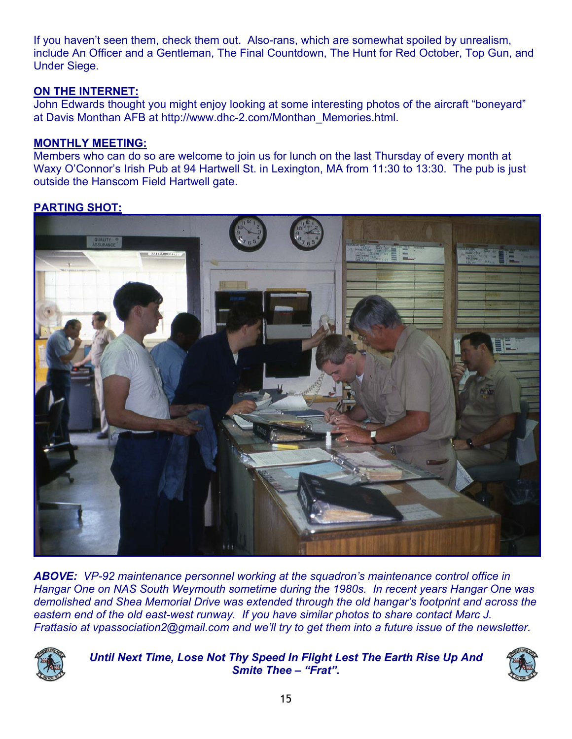If you haven't seen them, check them out. Also-rans, which are somewhat spoiled by unrealism, include An Officer and a Gentleman, The Final Countdown, The Hunt for Red October, Top Gun, and Under Siege.

# **ON THE INTERNET:**

John Edwards thought you might enjoy looking at some interesting photos of the aircraft "boneyard" at Davis Monthan AFB at http://www.dhc-2.com/Monthan\_Memories.html.

# **MONTHLY MEETING:**

Members who can do so are welcome to join us for lunch on the last Thursday of every month at Waxy O'Connor's Irish Pub at 94 Hartwell St. in Lexington, MA from 11:30 to 13:30. The pub is just outside the Hanscom Field Hartwell gate.

# **PARTING SHOT:**



*ABOVE: VP-92 maintenance personnel working at the squadron's maintenance control office in Hangar One on NAS South Weymouth sometime during the 1980s. In recent years Hangar One was demolished and Shea Memorial Drive was extended through the old hangar's footprint and across the eastern end of the old east-west runway. If you have similar photos to share contact Marc J. Frattasio at vpassociation2@gmail.com and we'll try to get them into a future issue of the newsletter.* 



*Until Next Time, Lose Not Thy Speed In Flight Lest The Earth Rise Up And Smite Thee – "Frat".*